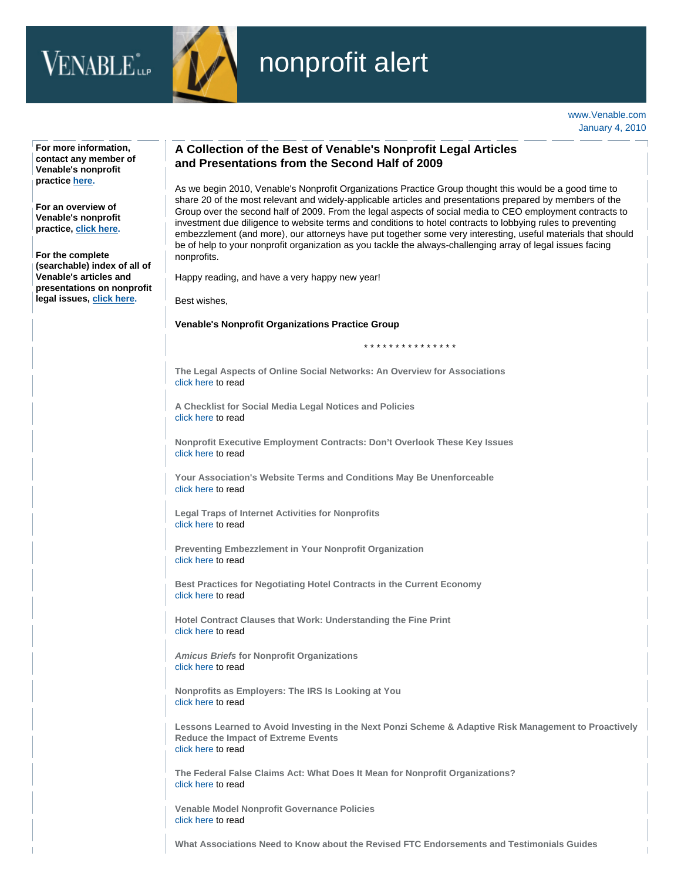## $VENABLE^*_{\text{up}}$



## nonprofit alert

| For more information,<br>contact any member of<br>Venable's nonprofit                                                                                                                                                                | A Collection of the Best of Venable's Nonprofit Legal Articles<br>and Presentations from the Second Half of 2009                                                                                                                                                                                                                                                                                                                                                                                                                                                                                                                                                                               |
|--------------------------------------------------------------------------------------------------------------------------------------------------------------------------------------------------------------------------------------|------------------------------------------------------------------------------------------------------------------------------------------------------------------------------------------------------------------------------------------------------------------------------------------------------------------------------------------------------------------------------------------------------------------------------------------------------------------------------------------------------------------------------------------------------------------------------------------------------------------------------------------------------------------------------------------------|
| practice here.<br>For an overview of<br>Venable's nonprofit<br>practice, click here.<br>For the complete<br>(searchable) index of all of<br><b>Venable's articles and</b><br>presentations on nonprofit<br>legal issues, click here. | As we begin 2010, Venable's Nonprofit Organizations Practice Group thought this would be a good time to<br>share 20 of the most relevant and widely-applicable articles and presentations prepared by members of the<br>Group over the second half of 2009. From the legal aspects of social media to CEO employment contracts to<br>investment due diligence to website terms and conditions to hotel contracts to lobbying rules to preventing<br>embezzlement (and more), our attorneys have put together some very interesting, useful materials that should<br>be of help to your nonprofit organization as you tackle the always-challenging array of legal issues facing<br>nonprofits. |
|                                                                                                                                                                                                                                      | Happy reading, and have a very happy new year!                                                                                                                                                                                                                                                                                                                                                                                                                                                                                                                                                                                                                                                 |
|                                                                                                                                                                                                                                      | Best wishes,                                                                                                                                                                                                                                                                                                                                                                                                                                                                                                                                                                                                                                                                                   |
|                                                                                                                                                                                                                                      | <b>Venable's Nonprofit Organizations Practice Group</b>                                                                                                                                                                                                                                                                                                                                                                                                                                                                                                                                                                                                                                        |
|                                                                                                                                                                                                                                      | * * * * * * * * * * * * * * *                                                                                                                                                                                                                                                                                                                                                                                                                                                                                                                                                                                                                                                                  |
|                                                                                                                                                                                                                                      | The Legal Aspects of Online Social Networks: An Overview for Associations<br>click here to read                                                                                                                                                                                                                                                                                                                                                                                                                                                                                                                                                                                                |
|                                                                                                                                                                                                                                      | A Checklist for Social Media Legal Notices and Policies<br>click here to read                                                                                                                                                                                                                                                                                                                                                                                                                                                                                                                                                                                                                  |
|                                                                                                                                                                                                                                      | Nonprofit Executive Employment Contracts: Don't Overlook These Key Issues<br>click here to read                                                                                                                                                                                                                                                                                                                                                                                                                                                                                                                                                                                                |
|                                                                                                                                                                                                                                      | Your Association's Website Terms and Conditions May Be Unenforceable<br>click here to read                                                                                                                                                                                                                                                                                                                                                                                                                                                                                                                                                                                                     |
|                                                                                                                                                                                                                                      | <b>Legal Traps of Internet Activities for Nonprofits</b><br>click here to read                                                                                                                                                                                                                                                                                                                                                                                                                                                                                                                                                                                                                 |
|                                                                                                                                                                                                                                      | <b>Preventing Embezzlement in Your Nonprofit Organization</b><br>click here to read                                                                                                                                                                                                                                                                                                                                                                                                                                                                                                                                                                                                            |
|                                                                                                                                                                                                                                      | Best Practices for Negotiating Hotel Contracts in the Current Economy<br>click here to read                                                                                                                                                                                                                                                                                                                                                                                                                                                                                                                                                                                                    |
|                                                                                                                                                                                                                                      | Hotel Contract Clauses that Work: Understanding the Fine Print<br>click here to read                                                                                                                                                                                                                                                                                                                                                                                                                                                                                                                                                                                                           |
|                                                                                                                                                                                                                                      | <b>Amicus Briefs for Nonprofit Organizations</b><br>click here to read                                                                                                                                                                                                                                                                                                                                                                                                                                                                                                                                                                                                                         |
|                                                                                                                                                                                                                                      | Nonprofits as Employers: The IRS Is Looking at You<br>click here to read                                                                                                                                                                                                                                                                                                                                                                                                                                                                                                                                                                                                                       |
|                                                                                                                                                                                                                                      | Lessons Learned to Avoid Investing in the Next Ponzi Scheme & Adaptive Risk Management to Proactively<br><b>Reduce the Impact of Extreme Events</b><br>click here to read                                                                                                                                                                                                                                                                                                                                                                                                                                                                                                                      |
|                                                                                                                                                                                                                                      | The Federal False Claims Act: What Does It Mean for Nonprofit Organizations?<br>click here to read                                                                                                                                                                                                                                                                                                                                                                                                                                                                                                                                                                                             |
|                                                                                                                                                                                                                                      | <b>Venable Model Nonprofit Governance Policies</b><br>click here to read                                                                                                                                                                                                                                                                                                                                                                                                                                                                                                                                                                                                                       |
|                                                                                                                                                                                                                                      | What Associations Need to Know about the Revised FTC Endorsements and Testimonials Guides                                                                                                                                                                                                                                                                                                                                                                                                                                                                                                                                                                                                      |